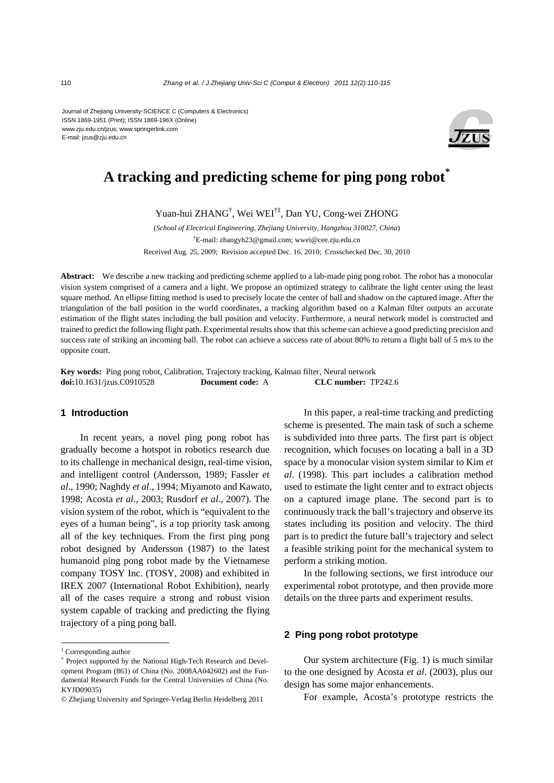Journal of Zhejiang University-SCIENCE C (Computers & Electronics) ISSN 1869-1951 (Print); ISSN 1869-196X (Online) www.zju.edu.cn/jzus; www.springerlink.com E-mail: jzus@zju.edu.cn



# **A tracking and predicting scheme for ping pong robot\***

Yuan-hui ZHANG† , Wei WEI†‡, Dan YU, Cong-wei ZHONG

(*School of Electrical Engineering, Zhejiang University, Hangzhou 310027, China*) † E-mail: zhangyh23@gmail.com; wwei@cee.zju.edu.cn Received Aug. 25, 2009; Revision accepted Dec. 16, 2010; Crosschecked Dec. 30, 2010

**Abstract:** We describe a new tracking and predicting scheme applied to a lab-made ping pong robot. The robot has a monocular vision system comprised of a camera and a light. We propose an optimized strategy to calibrate the light center using the least square method. An ellipse fitting method is used to precisely locate the center of ball and shadow on the captured image. After the triangulation of the ball position in the world coordinates, a tracking algorithm based on a Kalman filter outputs an accurate estimation of the flight states including the ball position and velocity. Furthermore, a neural network model is constructed and trained to predict the following flight path. Experimental results show that this scheme can achieve a good predicting precision and success rate of striking an incoming ball. The robot can achieve a success rate of about 80% to return a flight ball of 5 m/s to the opposite court.

**Key words:** Ping pong robot, Calibration, Trajectory tracking, Kalman filter, Neural network **doi:**10.1631/jzus.C0910528 **Document code:** A **CLC number:** TP242.6

## **1 Introduction**

In recent years, a novel ping pong robot has gradually become a hotspot in robotics research due to its challenge in mechanical design, real-time vision, and intelligent control (Andersson, 1989; Fassler *et al*., 1990; Naghdy *et al*., 1994; Miyamoto and Kawato, 1998; Acosta *et al*., 2003; Rusdorf *et al*., 2007). The vision system of the robot, which is "equivalent to the eyes of a human being", is a top priority task among all of the key techniques. From the first ping pong robot designed by Andersson (1987) to the latest humanoid ping pong robot made by the Vietnamese company TOSY Inc. (TOSY, 2008) and exhibited in IREX 2007 (International Robot Exhibition), nearly all of the cases require a strong and robust vision system capable of tracking and predicting the flying trajectory of a ping pong ball.

In this paper, a real-time tracking and predicting scheme is presented. The main task of such a scheme is subdivided into three parts. The first part is object recognition, which focuses on locating a ball in a 3D space by a monocular vision system similar to Kim *et al*. (1998). This part includes a calibration method used to estimate the light center and to extract objects on a captured image plane. The second part is to continuously track the ball's trajectory and observe its states including its position and velocity. The third part is to predict the future ball's trajectory and select a feasible striking point for the mechanical system to perform a striking motion.

In the following sections, we first introduce our experimental robot prototype, and then provide more details on the three parts and experiment results.

### **2 Ping pong robot prototype**

Our system architecture (Fig. 1) is much similar to the one designed by Acosta *et al*. (2003), plus our design has some major enhancements.

For example, Acosta's prototype restricts the

<sup>‡</sup> Corresponding author

<sup>\*</sup> Project supported by the National High-Tech Research and Development Program (863) of China (No. 2008AA042602) and the Fundamental Research Funds for the Central Universities of China (No. KYJD09035)

<sup>©</sup> Zhejiang University and Springer-Verlag Berlin Heidelberg 2011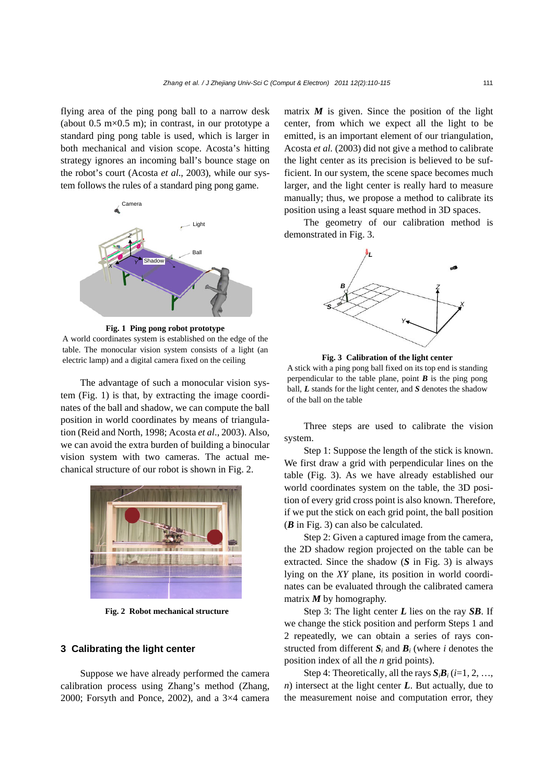flying area of the ping pong ball to a narrow desk (about  $0.5 \text{ m} \times 0.5 \text{ m}$ ); in contrast, in our prototype a standard ping pong table is used, which is larger in both mechanical and vision scope. Acosta's hitting strategy ignores an incoming ball's bounce stage on the robot's court (Acosta *et al*., 2003), while our system follows the rules of a standard ping pong game.



**Fig. 1 Ping pong robot prototype**  A world coordinates system is established on the edge of the table. The monocular vision system consists of a light (an electric lamp) and a digital camera fixed on the ceiling

The advantage of such a monocular vision system (Fig. 1) is that, by extracting the image coordinates of the ball and shadow, we can compute the ball position in world coordinates by means of triangulation (Reid and North, 1998; Acosta *et al*., 2003). Also, we can avoid the extra burden of building a binocular vision system with two cameras. The actual mechanical structure of our robot is shown in Fig. 2.



**Fig. 2 Robot mechanical structure** 

#### **3 Calibrating the light center**

Suppose we have already performed the camera calibration process using Zhang's method (Zhang, 2000; Forsyth and Ponce, 2002), and a 3×4 camera

matrix  $M$  is given. Since the position of the light center, from which we expect all the light to be emitted, is an important element of our triangulation, Acosta *et al.* (2003) did not give a method to calibrate the light center as its precision is believed to be sufficient. In our system, the scene space becomes much larger, and the light center is really hard to measure manually; thus, we propose a method to calibrate its position using a least square method in 3D spaces.

The geometry of our calibration method is demonstrated in Fig. 3.



**Fig. 3 Calibration of the light center** 

A stick with a ping pong ball fixed on its top end is standing perpendicular to the table plane, point  $\boldsymbol{B}$  is the ping pong ball, *L* stands for the light center, and *S* denotes the shadow of the ball on the table

Three steps are used to calibrate the vision system.

Step 1: Suppose the length of the stick is known. We first draw a grid with perpendicular lines on the table (Fig. 3). As we have already established our world coordinates system on the table, the 3D position of every grid cross point is also known. Therefore, if we put the stick on each grid point, the ball position (*B* in Fig. 3) can also be calculated.

Step 2: Given a captured image from the camera, the 2D shadow region projected on the table can be extracted. Since the shadow (*S* in Fig. 3) is always lying on the *XY* plane, its position in world coordinates can be evaluated through the calibrated camera matrix *M* by homography.

Step 3: The light center *L* lies on the ray *SB*. If we change the stick position and perform Steps 1 and 2 repeatedly, we can obtain a series of rays constructed from different  $S_i$  and  $B_i$  (where *i* denotes the position index of all the *n* grid points).

Step 4: Theoretically, all the rays  $S_i B_i$  (*i*=1, 2, …, *n*) intersect at the light center *L*. But actually, due to the measurement noise and computation error, they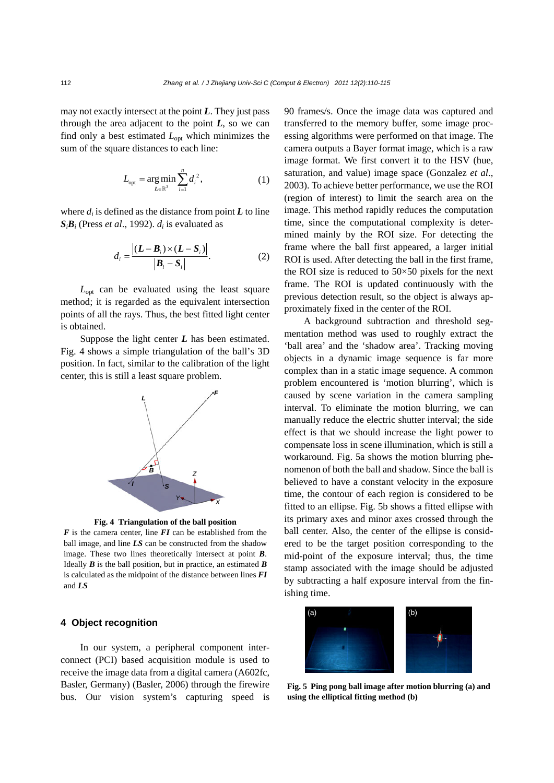may not exactly intersect at the point *L*. They just pass through the area adjacent to the point  $L$ , so we can find only a best estimated  $L_{opt}$  which minimizes the sum of the square distances to each line:

$$
L_{\text{opt}} = \underset{L \in \mathbb{R}^3}{\arg \min} \sum_{i=1}^n d_i^2, \tag{1}
$$

where  $d_i$  is defined as the distance from point  $\boldsymbol{L}$  to line  $S_i B_i$  (Press *et al.*, 1992).  $d_i$  is evaluated as

$$
d_i = \frac{\left| \left( L - B_i \right) \times \left( L - S_i \right) \right|}{\left| B_i - S_i \right|}.
$$
 (2)

*L*opt can be evaluated using the least square method; it is regarded as the equivalent intersection points of all the rays. Thus, the best fitted light center is obtained.

Suppose the light center *L* has been estimated. Fig. 4 shows a simple triangulation of the ball's 3D position. In fact, similar to the calibration of the light center, this is still a least square problem.





*F* is the camera center, line *FI* can be established from the ball image, and line *LS* can be constructed from the shadow image. These two lines theoretically intersect at point *B*. Ideally *B* is the ball position, but in practice, an estimated *B*  is calculated as the midpoint of the distance between lines *FI* and *LS*

#### **4 Object recognition**

In our system, a peripheral component interconnect (PCI) based acquisition module is used to receive the image data from a digital camera (A602fc, Basler, Germany) (Basler, 2006) through the firewire bus. Our vision system's capturing speed is 90 frames/s. Once the image data was captured and transferred to the memory buffer, some image processing algorithms were performed on that image. The camera outputs a Bayer format image, which is a raw image format. We first convert it to the HSV (hue, saturation, and value) image space (Gonzalez *et al*., 2003). To achieve better performance, we use the ROI (region of interest) to limit the search area on the image. This method rapidly reduces the computation time, since the computational complexity is determined mainly by the ROI size. For detecting the frame where the ball first appeared, a larger initial ROI is used. After detecting the ball in the first frame, the ROI size is reduced to  $50\times50$  pixels for the next frame. The ROI is updated continuously with the previous detection result, so the object is always approximately fixed in the center of the ROI.

A background subtraction and threshold segmentation method was used to roughly extract the 'ball area' and the 'shadow area'. Tracking moving objects in a dynamic image sequence is far more complex than in a static image sequence. A common problem encountered is 'motion blurring', which is caused by scene variation in the camera sampling interval. To eliminate the motion blurring, we can manually reduce the electric shutter interval; the side effect is that we should increase the light power to compensate loss in scene illumination, which is still a workaround. Fig. 5a shows the motion blurring phenomenon of both the ball and shadow. Since the ball is believed to have a constant velocity in the exposure time, the contour of each region is considered to be fitted to an ellipse. Fig. 5b shows a fitted ellipse with its primary axes and minor axes crossed through the ball center. Also, the center of the ellipse is considered to be the target position corresponding to the mid-point of the exposure interval; thus, the time stamp associated with the image should be adjusted by subtracting a half exposure interval from the finishing time.



**Fig. 5 Ping pong ball image after motion blurring (a) and using the elliptical fitting method (b)**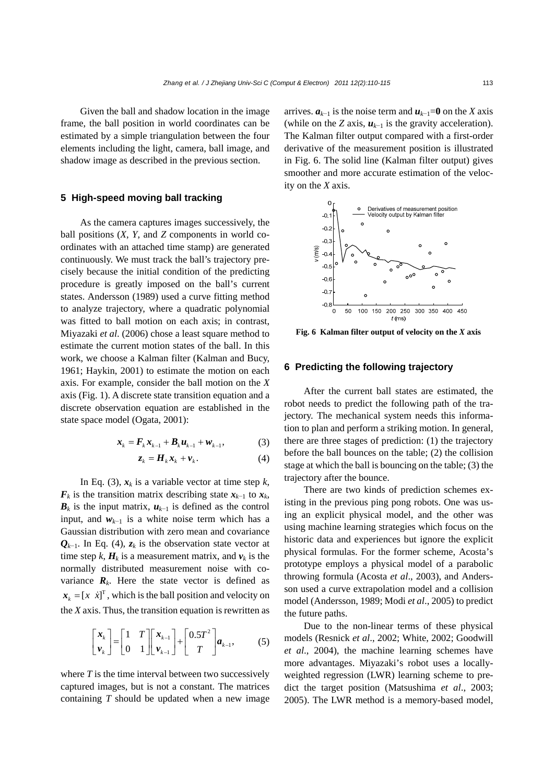Given the ball and shadow location in the image frame, the ball position in world coordinates can be estimated by a simple triangulation between the four elements including the light, camera, ball image, and shadow image as described in the previous section.

### **5 High-speed moving ball tracking**

As the camera captures images successively, the ball positions (*X*, *Y*, and *Z* components in world coordinates with an attached time stamp) are generated continuously. We must track the ball's trajectory precisely because the initial condition of the predicting procedure is greatly imposed on the ball's current states. Andersson (1989) used a curve fitting method to analyze trajectory, where a quadratic polynomial was fitted to ball motion on each axis; in contrast, Miyazaki *et al*. (2006) chose a least square method to estimate the current motion states of the ball. In this work, we choose a Kalman filter (Kalman and Bucy, 1961; Haykin, 2001) to estimate the motion on each axis. For example, consider the ball motion on the *X* axis (Fig. 1). A discrete state transition equation and a discrete observation equation are established in the state space model (Ogata, 2001):

$$
x_k = F_k x_{k-1} + B_k u_{k-1} + w_{k-1},
$$
 (3)

$$
z_k = H_k x_k + v_k. \tag{4}
$$

In Eq. (3),  $x_k$  is a variable vector at time step  $k$ ,  $F_k$  is the transition matrix describing state  $x_{k-1}$  to  $x_k$ ,  **is the input matrix,**  $**u**<sub>k-1</sub>$  **is defined as the control** input, and  $w_{k-1}$  is a white noise term which has a Gaussian distribution with zero mean and covariance  $Q_{k-1}$ . In Eq. (4),  $z_k$  is the observation state vector at time step *k*,  $H_k$  is a measurement matrix, and  $v_k$  is the normally distributed measurement noise with covariance  $\mathbf{R}_k$ . Here the state vector is defined as  $x_k = [x \space \dot{x}]^T$ , which is the ball position and velocity on the *X* axis. Thus, the transition equation is rewritten as

$$
\begin{bmatrix} \mathbf{x}_{k} \\ \mathbf{v}_{k} \end{bmatrix} = \begin{bmatrix} 1 & T \\ 0 & 1 \end{bmatrix} \begin{bmatrix} \mathbf{x}_{k-1} \\ \mathbf{v}_{k-1} \end{bmatrix} + \begin{bmatrix} 0.5T^2 \\ T \end{bmatrix} \mathbf{a}_{k-1},
$$
 (5)

where *T* is the time interval between two successively captured images, but is not a constant. The matrices containing *T* should be updated when a new image arrives.  $a_{k-1}$  is the noise term and  $u_{k-1}=0$  on the *X* axis (while on the *Z* axis,  $u_{k-1}$  is the gravity acceleration). The Kalman filter output compared with a first-order derivative of the measurement position is illustrated in Fig. 6. The solid line (Kalman filter output) gives smoother and more accurate estimation of the velocity on the *X* axis.



**Fig. 6 Kalman filter output of velocity on the** *X* **axis** 

#### **6 Predicting the following trajectory**

After the current ball states are estimated, the robot needs to predict the following path of the trajectory. The mechanical system needs this information to plan and perform a striking motion. In general, there are three stages of prediction: (1) the trajectory before the ball bounces on the table; (2) the collision stage at which the ball is bouncing on the table; (3) the trajectory after the bounce.

There are two kinds of prediction schemes existing in the previous ping pong robots. One was using an explicit physical model, and the other was using machine learning strategies which focus on the historic data and experiences but ignore the explicit physical formulas. For the former scheme, Acosta's prototype employs a physical model of a parabolic throwing formula (Acosta *et al*., 2003), and Andersson used a curve extrapolation model and a collision model (Andersson, 1989; Modi *et al*., 2005) to predict the future paths.

Due to the non-linear terms of these physical models (Resnick *et al*., 2002; White, 2002; Goodwill *et al*., 2004), the machine learning schemes have more advantages. Miyazaki's robot uses a locallyweighted regression (LWR) learning scheme to predict the target position (Matsushima *et al*., 2003; 2005). The LWR method is a memory-based model,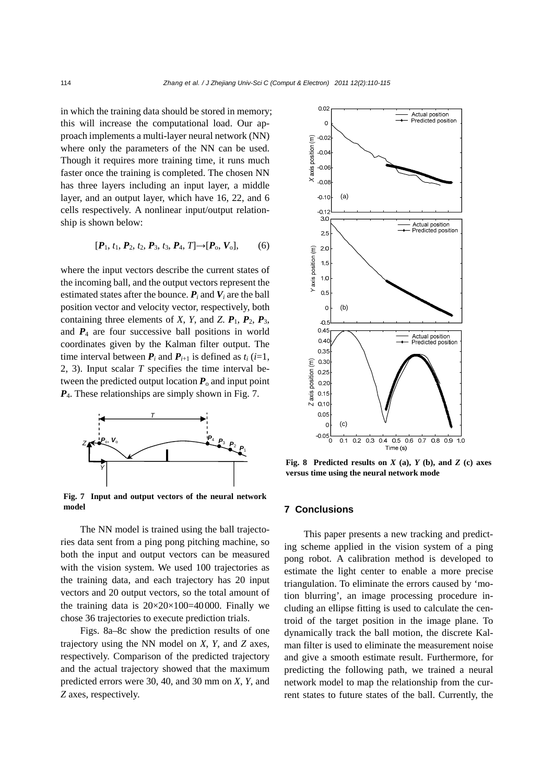in which the training data should be stored in memory; this will increase the computational load. Our approach implements a multi-layer neural network (NN) where only the parameters of the NN can be used. Though it requires more training time, it runs much faster once the training is completed. The chosen NN has three layers including an input layer, a middle layer, and an output layer, which have 16, 22, and 6 cells respectively. A nonlinear input/output relationship is shown below:

$$
[\boldsymbol{P}_1, t_1, \boldsymbol{P}_2, t_2, \boldsymbol{P}_3, t_3, \boldsymbol{P}_4, T] \rightarrow [\boldsymbol{P}_0, \boldsymbol{V}_0], \qquad (6)
$$

where the input vectors describe the current states of the incoming ball, and the output vectors represent the estimated states after the bounce.  $P_i$  and  $V_i$  are the ball position vector and velocity vector, respectively, both containing three elements of *X*, *Y*, and *Z*.  $P_1$ ,  $P_2$ ,  $P_3$ , and  $P_4$  are four successive ball positions in world coordinates given by the Kalman filter output. The time interval between  $P_i$  and  $P_{i+1}$  is defined as  $t_i$  (*i*=1, 2, 3). Input scalar *T* specifies the time interval between the predicted output location  $P_0$  and input point *P*4. These relationships are simply shown in Fig. 7.



**Fig. 7 Input and output vectors of the neural network model**

The NN model is trained using the ball trajectories data sent from a ping pong pitching machine, so both the input and output vectors can be measured with the vision system. We used 100 trajectories as the training data, and each trajectory has 20 input vectors and 20 output vectors, so the total amount of the training data is  $20 \times 20 \times 100 = 40000$ . Finally we chose 36 trajectories to execute prediction trials.

Figs. 8a–8c show the prediction results of one trajectory using the NN model on *X*, *Y*, and *Z* axes, respectively. Comparison of the predicted trajectory and the actual trajectory showed that the maximum predicted errors were 30, 40, and 30 mm on *X*, *Y*, and *Z* axes, respectively.



**Fig. 8 Predicted results on**  $X$  **(a),**  $Y$  **(b), and**  $Z$  **(c) axes versus time using the neural network mode** 

#### **7 Conclusions**

This paper presents a new tracking and predicting scheme applied in the vision system of a ping pong robot. A calibration method is developed to estimate the light center to enable a more precise triangulation. To eliminate the errors caused by 'motion blurring', an image processing procedure including an ellipse fitting is used to calculate the centroid of the target position in the image plane. To dynamically track the ball motion, the discrete Kalman filter is used to eliminate the measurement noise and give a smooth estimate result. Furthermore, for predicting the following path, we trained a neural network model to map the relationship from the current states to future states of the ball. Currently, the